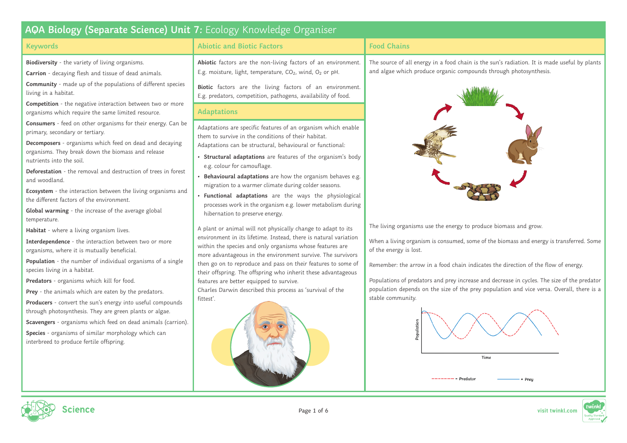### **Keywords**

**Biodiversity** - the variety of living organisms.

**Carrion** - decaying flesh and tissue of dead animals.

**Community** - made up of the populations of different species living in a habitat.

**Competition** - the negative interaction between two or more organisms which require the same limited resource.

**Consumers** - feed on other organisms for their energy. Can be primary, secondary or tertiary.

**Decomposers** - organisms which feed on dead and decaying organisms. They break down the biomass and release nutrients into the soil.

**Deforestation** - the removal and destruction of trees in forest and woodland.

**Ecosystem** - the interaction between the living organisms and the different factors of the environment.

**Global warming** - the increase of the average global temperature.

**Habitat** - where a living organism lives.

**Interdependence** - the interaction between two or more organisms, where it is mutually beneficial.

**Population** - the number of individual organisms of a single species living in a habitat.

**Predators** - organisms which kill for food.

**Prey** - the animals which are eaten by the predators. **Producers** - convert the sun's energy into useful compounds through photosynthesis. They are green plants or algae.

**Scavengers** - organisms which feed on dead animals (carrion).

**Species** - organisms of similar morphology which can interbreed to produce fertile offspring.

## **Abiotic and Biotic Factors**

**Abiotic** factors are the non-living factors of an environment. E.g. moisture, light, temperature,  $CO<sub>2</sub>$ , wind,  $O<sub>2</sub>$  or pH.

**Biotic** factors are the living factors of an environment. E.g. predators, competition, pathogens, availability of food.

### **Adaptations**

Adaptations are specific features of an organism which enable them to survive in the conditions of their habitat. Adaptations can be structural, behavioural or functional:

- **• Structural adaptations** are features of the organism's body e.g. colour for camouflage.
- **• Behavioural adaptations** are how the organism behaves e.g. migration to a warmer climate during colder seasons.
- **• Functional adaptations** are the ways the physiological processes work in the organism e.g. lower metabolism during hibernation to preserve energy.

A plant or animal will not physically change to adapt to its environment in its lifetime. Instead, there is natural variation within the species and only organisms whose features are more advantageous in the environment survive. The survivors then go on to reproduce and pass on their features to some of their offspring. The offspring who inherit these advantageous features are better equipped to survive.

Charles Darwin described this process as 'survival of the fittest'.



## **Food Chains**

The source of all energy in a food chain is the sun's radiation. It is made useful by plants and algae which produce organic compounds through photosynthesis.



The living organisms use the energy to produce biomass and grow.

When a living organism is consumed, some of the biomass and energy is transferred. Some of the energy is lost.

Remember: the arrow in a food chain indicates the direction of the flow of energy.

Populations of predators and prey increase and decrease in cycles. The size of the predator population depends on the size of the prey population and vice versa. Overall, there is a stable community.





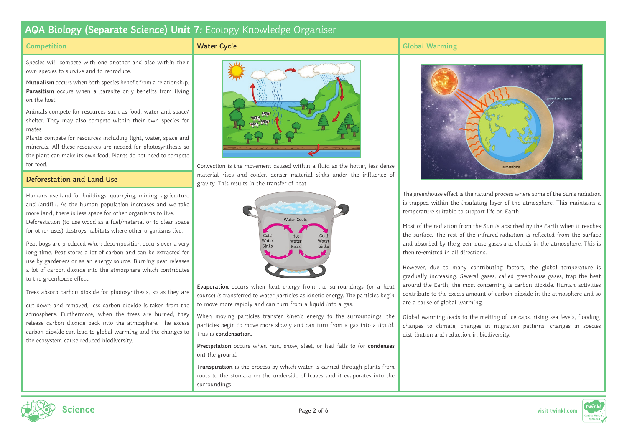#### **Competition**

#### **Water Cycle**

## **Global Warming**

Species will compete with one another and also within their own species to survive and to reproduce.

**Mutualism** occurs when both species benefit from a relationship. **Parasitism** occurs when a parasite only benefits from living on the host.

Animals compete for resources such as food, water and space/ shelter. They may also compete within their own species for mates.

Plants compete for resources including light, water, space and minerals. All these resources are needed for photosynthesis so the plant can make its own food. Plants do not need to compete for food.

### **Deforestation and Land Use**

Humans use land for buildings, quarrying, mining, agriculture and landfill. As the human population increases and we take more land, there is less space for other organisms to live. Deforestation (to use wood as a fuel/material or to clear space for other uses) destroys habitats where other organisms live.

Peat bogs are produced when decomposition occurs over a very long time. Peat stores a lot of carbon and can be extracted for use by gardeners or as an energy source. Burning peat releases a lot of carbon dioxide into the atmosphere which contributes to the greenhouse effect.

Trees absorb carbon dioxide for photosynthesis, so as they are

cut down and removed, less carbon dioxide is taken from the atmosphere. Furthermore, when the trees are burned, they release carbon dioxide back into the atmosphere. The excess carbon dioxide can lead to global warming and the changes to the ecosystem cause reduced biodiversity.



Convection is the movement caused within a fluid as the hotter, less dense material rises and colder, denser material sinks under the influence of gravity. This results in the transfer of heat.



**Evaporation** occurs when heat energy from the surroundings (or a heat source) is transferred to water particles as kinetic energy. The particles begin to move more rapidly and can turn from a liquid into a gas.

When moving particles transfer kinetic energy to the surroundings, the particles begin to move more slowly and can turn from a gas into a liquid. This is **condensation**.

**Precipitation** occurs when rain, snow, sleet, or hail falls to (or **condenses** on) the ground.

**Transpiration** is the process by which water is carried through plants from roots to the stomata on the underside of leaves and it evaporates into the surroundings.



The greenhouse effect is the natural process where some of the Sun's radiation is trapped within the insulating layer of the atmosphere. This maintains a temperature suitable to support life on Earth.

Most of the radiation from the Sun is absorbed by the Earth when it reaches the surface. The rest of the infrared radiation is reflected from the surface and absorbed by the greenhouse gases and clouds in the atmosphere. This is then re-emitted in all directions.

However, due to many contributing factors, the global temperature is gradually increasing. Several gases, called greenhouse gases, trap the heat around the Earth; the most concerning is carbon dioxide. Human activities contribute to the excess amount of carbon dioxide in the atmosphere and so are a cause of global warming.

Global warming leads to the melting of ice caps, rising sea levels, flooding, changes to climate, changes in migration patterns, changes in species distribution and reduction in biodiversity.



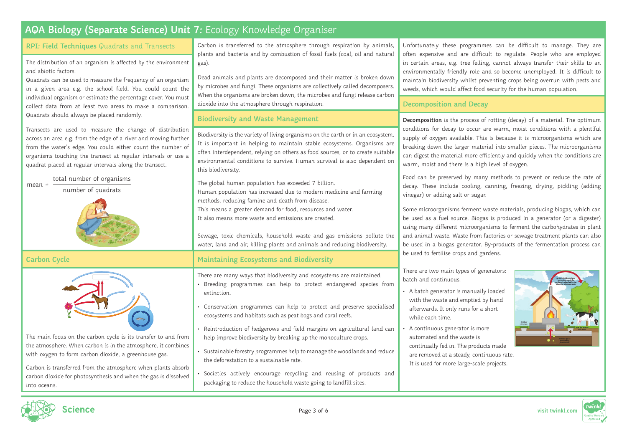| AQA Biology (Separate Science) Unit 7: Ecology Knowledge Organiser                                                                                                                                                                                                                                                                                                                                                                                 |                                                                                                                                                                                                                                                                                                                                                                                                            |                                                                                                                                                                                                                                                                                                                                                                                                                                                                  |
|----------------------------------------------------------------------------------------------------------------------------------------------------------------------------------------------------------------------------------------------------------------------------------------------------------------------------------------------------------------------------------------------------------------------------------------------------|------------------------------------------------------------------------------------------------------------------------------------------------------------------------------------------------------------------------------------------------------------------------------------------------------------------------------------------------------------------------------------------------------------|------------------------------------------------------------------------------------------------------------------------------------------------------------------------------------------------------------------------------------------------------------------------------------------------------------------------------------------------------------------------------------------------------------------------------------------------------------------|
| RPI: Field Techniques Quadrats and Transects<br>The distribution of an organism is affected by the environment<br>and abiotic factors.<br>Quadrats can be used to measure the frequency of an organism<br>in a given area e.g. the school field. You could count the<br>individual organism or estimate the percentage cover. You must<br>collect data from at least two areas to make a comparison.<br>Quadrats should always be placed randomly. | Carbon is transferred to the atmosphere through respiration by animals,<br>plants and bacteria and by combustion of fossil fuels (coal, oil and natural<br>gas).<br>Dead animals and plants are decomposed and their matter is broken down<br>by microbes and fungi. These organisms are collectively called decomposers.<br>When the organisms are broken down, the microbes and fungi release carbon     | Unfortunately these programmes can be difficult to manage. They are<br>often expensive and are difficult to regulate. People who are employed<br>in certain areas, e.g. tree felling, cannot always transfer their skills to an<br>environmentally friendly role and so become unemployed. It is difficult to<br>maintain biodiversity whilst preventing crops being overrun with pests and<br>weeds, which would affect food security for the human population. |
|                                                                                                                                                                                                                                                                                                                                                                                                                                                    | dioxide into the atmosphere through respiration.                                                                                                                                                                                                                                                                                                                                                           | Decomposition and Decay                                                                                                                                                                                                                                                                                                                                                                                                                                          |
|                                                                                                                                                                                                                                                                                                                                                                                                                                                    | <b>Biodiversity and Waste Management</b>                                                                                                                                                                                                                                                                                                                                                                   | Decomposition is the process of rotting (decay) of a material. The optimum                                                                                                                                                                                                                                                                                                                                                                                       |
| Transects are used to measure the change of distribution<br>across an area e.g. from the edge of a river and moving further<br>from the water's edge. You could either count the number of<br>organisms touching the transect at regular intervals or use a<br>quadrat placed at regular intervals along the transect.                                                                                                                             | Biodiversity is the variety of living organisms on the earth or in an ecosystem.<br>It is important in helping to maintain stable ecosystems. Organisms are<br>often interdependent, relying on others as food sources, or to create suitable<br>environmental conditions to survive. Human survival is also dependent on<br>this biodiversity.                                                            | conditions for decay to occur are warm, moist conditions with a plentiful<br>supply of oxygen available. This is because it is microorganisms which are<br>breaking down the larger material into smaller pieces. The microorganisms<br>can digest the material more efficiently and quickly when the conditions are<br>warm, moist and there is a high level of oxygen.                                                                                         |
| total number of organisms<br>$mean =$<br>number of quadrats                                                                                                                                                                                                                                                                                                                                                                                        | The global human population has exceeded 7 billion.<br>Human population has increased due to modern medicine and farming<br>methods, reducing famine and death from disease.<br>This means a greater demand for food, resources and water.<br>It also means more waste and emissions are created.                                                                                                          | Food can be preserved by many methods to prevent or reduce the rate of<br>decay. These include cooling, canning, freezing, drying, pickling (adding<br>vinegar) or adding salt or sugar.<br>Some microorganisms ferment waste materials, producing biogas, which can<br>be used as a fuel source. Biogas is produced in a generator (or a digester)                                                                                                              |
|                                                                                                                                                                                                                                                                                                                                                                                                                                                    | Sewage, toxic chemicals, household waste and gas emissions pollute the<br>water, land and air, killing plants and animals and reducing biodiversity.                                                                                                                                                                                                                                                       | using many different microorganisms to ferment the carbohydrates in plant<br>and animal waste. Waste from factories or sewage treatment plants can also<br>be used in a biogas generator. By-products of the fermentation process can<br>be used to fertilise crops and gardens.                                                                                                                                                                                 |
| <b>Carbon Cycle</b>                                                                                                                                                                                                                                                                                                                                                                                                                                | Maintaining Ecosystems and Biodiversity                                                                                                                                                                                                                                                                                                                                                                    |                                                                                                                                                                                                                                                                                                                                                                                                                                                                  |
|                                                                                                                                                                                                                                                                                                                                                                                                                                                    | There are many ways that biodiversity and ecosystems are maintained:<br>· Breeding programmes can help to protect endangered species from<br>extinction.<br>· Conservation programmes can help to protect and preserve specialised<br>ecosystems and habitats such as peat bogs and coral reefs.                                                                                                           | There are two main types of generators:<br>batch and continuous.<br>• A batch generator is manually loaded<br>with the waste and emptied by hand<br>afterwards. It only runs for a short<br>while each time.                                                                                                                                                                                                                                                     |
| The main focus on the carbon cycle is its transfer to and from<br>the atmosphere. When carbon is in the atmosphere, it combines<br>with oxygen to form carbon dioxide, a greenhouse gas.<br>Carbon is transferred from the atmosphere when plants absorb<br>carbon dioxide for photosynthesis and when the gas is dissolved<br>into oceans.                                                                                                        | Reintroduction of hedgerows and field margins on agricultural land can<br>help improve biodiversity by breaking up the monoculture crops.<br>Sustainable forestry programmes help to manage the woodlands and reduce<br>the deforestation to a sustainable rate.<br>Societies actively encourage recycling and reusing of products and<br>packaging to reduce the household waste going to landfill sites. | fertiliser<br>for crops<br>A continuous generator is more<br>automated and the waste is<br>continually fed in. The products made<br>are removed at a steady, continuous rate.<br>It is used for more large-scale projects.                                                                                                                                                                                                                                       |



Page 3 of 6 **visit twinkl.com**

twin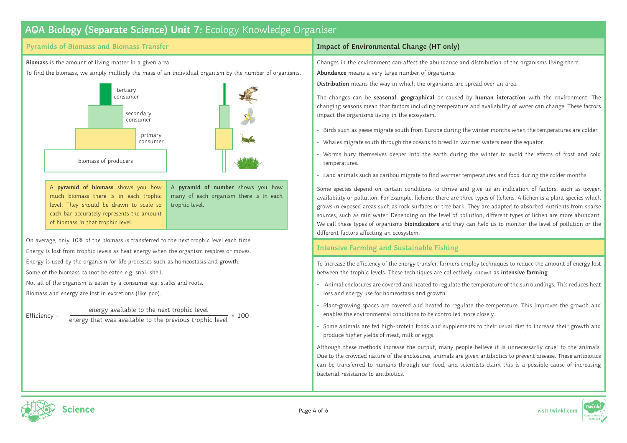### **Pyramids of Biomass and Biomass Transfer**

**Biomass** is the amount of living matter in a given area.

To find the biomass, we simply multiply the mass of an individual organism by the number of organisms.



A **pyramid of biomass** shows you how much biomass there is in each trophic level. They should be drawn to scale so each bar accurately represents the amount of biomass in that trophic level.

A **pyramid of number** shows you how many of each organism there is in each trophic level.

On average, only 10% of the biomass is transferred to the next trophic level each time. Energy is lost from trophic levels as heat energy when the organism respires or moves. Energy is used by the organism for life processes such as homeostasis and growth. Some of the biomass cannot be eaten e.g. snail shell.

Not all of the organism is eaten by a consumer e.g. stalks and roots. Biomass and energy are lost in excretions (like poo).

Efficiency =  $\frac{energy}{energy}$  available to the next trophic level  $\times$  100

## **Impact of Environmental Change (HT only)**

Changes in the environment can affect the abundance and distribution of the organisms living there. **Abundance** means a very large number of organisms.

**Distribution** means the way in which the organisms are spread over an area.

The changes can be **seasonal**, **geographical** or caused by **human interaction** with the environment. The changing seasons mean that factors including temperature and availability of water can change. These factors impact the organisms living in the ecosystem.

- Birds such as geese migrate south from Europe during the winter months when the temperatures are colder.
- Whales migrate south through the oceans to breed in warmer waters near the equator.
- Worms bury themselves deeper into the earth during the winter to avoid the effects of frost and cold temperatures.
- Land animals such as caribou migrate to find warmer temperatures and food during the colder months.

Some species depend on certain conditions to thrive and give us an indication of factors, such as oxygen availability or pollution. For example, lichens: there are three types of lichens. A lichen is a plant species which grows in exposed areas such as rock surfaces or tree bark. They are adapted to absorbed nutrients from sparse sources, such as rain water. Depending on the level of pollution, different types of lichen are more abundant. We call these types of organisms **bioindicators** and they can help us to monitor the level of pollution or the different factors affecting an ecosystem.

## **Intensive Farming and Sustainable Fishing**

To increase the efficiency of the energy transfer, farmers employ techniques to reduce the amount of energy lost between the trophic levels. These techniques are collectively known as **intensive farming**.

- Animal enclosures are covered and heated to regulate the temperature of the surroundings. This reduces heat loss and energy use for homeostasis and growth.
- Plant-growing spaces are covered and heated to regulate the temperature. This improves the growth and enables the environmental conditions to be controlled more closely.
- Some animals are fed high-protein foods and supplements to their usual diet to increase their growth and produce higher yields of meat, milk or eggs.

Although these methods increase the output, many people believe it is unnecessarily cruel to the animals. Due to the crowded nature of the enclosures, animals are given antibiotics to prevent disease. These antibiotics can be transferred to humans through our food, and scientists claim this is a possible cause of increasing bacterial resistance to antibiotics.



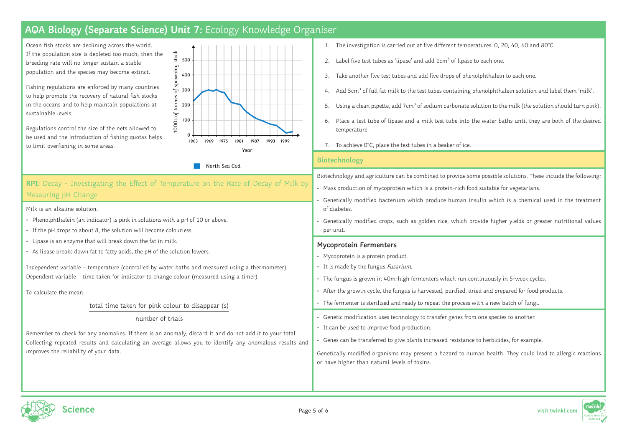Ocean fish stocks are declining across the world. If the population size is depleted too much, then the breeding rate will no longer sustain a stable population and the species may become extinct.

Fishing regulations are enforced by many countries to help promote the recovery of natural fish stocks in the oceans and to help maintain populations at sustainable levels.

Regulations control the size of the nets allowed to be used and the introduction of fishing quotas helps to limit overfishing in some areas.



North Sea Cod

# **RPI:** Decay - Investigating the Effect of Temperature on the Rate of Decay of Milk by Measuring pH Change

Milk is an alkaline solution.

- Phenolphthalein (an indicator) is pink in solutions with a pH of 10 or above.
- If the pH drops to about 8, the solution will become colourless.
- Lipase is an enzyme that will break down the fat in milk.
- As lipase breaks down fat to fatty acids, the pH of the solution lowers.

Independent variable – temperature (controlled by water baths and measured using a thermometer). Dependent variable – time taken for indicator to change colour (measured using a timer).

To calculate the mean:

total time taken for pink colour to disappear (s)

#### number of trials

Remember to check for any anomalies. If there is an anomaly, discard it and do not add it to your total. Collecting repeated results and calculating an average allows you to identify any anomalous results and improves the reliability of your data.

- 1. The investigation is carried out at five different temperatures: 0, 20, 40, 60 and 80°C.
- 2. Label five test tubes as 'lipase' and add 1cm<sup>3</sup> of lipase to each one.
- 3. Take another five test tubes and add five drops of phenolphthalein to each one.
- 4. Add 5cm<sup>3</sup> of full fat milk to the test tubes containing phenolphthalein solution and label them 'milk'.
- Using a clean pipette, add 7cm<sup>3</sup> of sodium carbonate solution to the milk (the solution should turn pink).
- 6. Place a test tube of lipase and a milk test tube into the water baths until they are both of the desired temperature.
- 7. To achieve O°C, place the test tubes in a beaker of ice.

### **Biotechnology**

Biotechnology and agriculture can be combined to provide some possible solutions. These include the following:

- Mass production of mycoprotein which is a protein-rich food suitable for vegetarians.
- Genetically modified bacterium which produce human insulin which is a chemical used in the treatment of diabetes.
- Genetically modified crops, such as golden rice, which provide higher yields or greater nutritional values per unit.

### **Mycoprotein Fermenters**

- Mycoprotein is a protein product.
- It is made by the fungus Fusarium.
- The fungus is grown in 40m-high fermenters which run continuously in 5-week cycles.
- After the growth cycle, the fungus is harvested, purified, dried and prepared for food products.
- The fermenter is sterilised and ready to repeat the process with a new batch of fungi.
- Genetic modification uses technology to transfer genes from one species to another.
- It can be used to improve food production.
- Genes can be transferred to give plants increased resistance to herbicides, for example.

Genetically modified organisms may present a hazard to human health. They could lead to allergic reactions or have higher than natural levels of toxins.





Page 5 of 6 **visit twinkl.com**